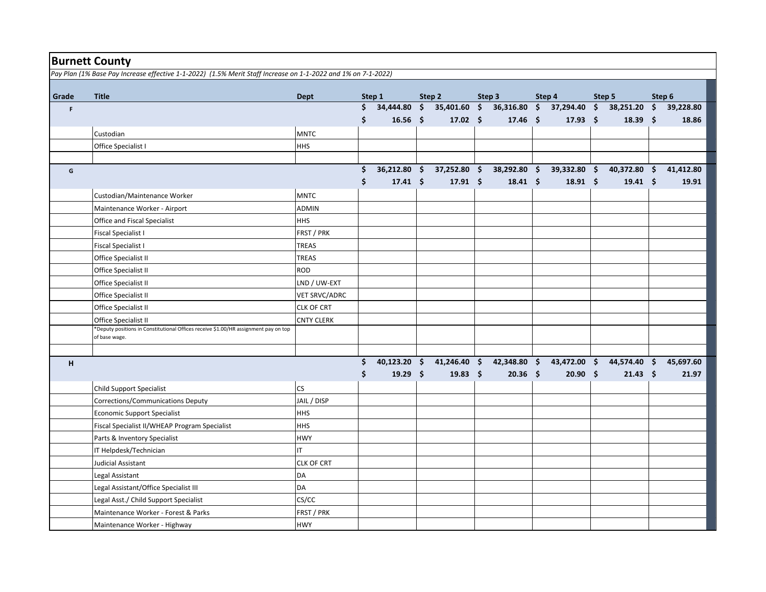| <b>Burnett County</b> |                                                                                                               |                          |    |                     |                     |                 |                     |                 |               |              |                     |                 |                     |           |
|-----------------------|---------------------------------------------------------------------------------------------------------------|--------------------------|----|---------------------|---------------------|-----------------|---------------------|-----------------|---------------|--------------|---------------------|-----------------|---------------------|-----------|
|                       | Pay Plan (1% Base Pay Increase effective 1-1-2022) (1.5% Merit Staff Increase on 1-1-2022 and 1% on 7-1-2022) |                          |    |                     |                     |                 |                     |                 |               |              |                     |                 |                     |           |
|                       |                                                                                                               |                          |    |                     |                     |                 |                     |                 |               |              |                     |                 |                     |           |
| Grade                 | <b>Title</b>                                                                                                  | <b>Dept</b>              |    | Step 1              |                     | Step 2          |                     | Step 3          |               | Step 4       |                     | Step 5          |                     | Step 6    |
| F                     |                                                                                                               |                          | \$ | 34,444.80           | $\ddot{\mathsf{s}}$ | 35,401.60       | $\ddot{\bm{\zeta}}$ | 36,316.80       | $\frac{1}{2}$ | 37,294.40    | $\ddot{\bm{\zeta}}$ | 38,251.20       | $\ddot{\mathsf{s}}$ | 39,228.80 |
|                       |                                                                                                               |                          | \$ | 16.56 $$$           |                     | $17.02 \div$    |                     | $17.46$ \$      |               | $17.93$ \$   |                     | 18.39 \$        |                     | 18.86     |
|                       | Custodian                                                                                                     | <b>MNTC</b>              |    |                     |                     |                 |                     |                 |               |              |                     |                 |                     |           |
|                       | Office Specialist I                                                                                           | <b>HHS</b>               |    |                     |                     |                 |                     |                 |               |              |                     |                 |                     |           |
|                       |                                                                                                               |                          |    |                     |                     |                 |                     |                 |               |              |                     |                 |                     |           |
| G                     |                                                                                                               |                          | \$ | $36,212.80$ \$      |                     | 37,252.80 \$    |                     | 38,292.80 \$    |               | 39,332.80 \$ |                     | $40,372.80$ \$  |                     | 41,412.80 |
|                       |                                                                                                               |                          | \$ | $17.41 \quad $$     |                     | $17.91 \quad $$ |                     | $18.41 \quad $$ |               | $18.91$ \$   |                     | $19.41 \quad $$ |                     | 19.91     |
|                       | Custodian/Maintenance Worker                                                                                  | <b>MNTC</b>              |    |                     |                     |                 |                     |                 |               |              |                     |                 |                     |           |
|                       | Maintenance Worker - Airport                                                                                  | <b>ADMIN</b>             |    |                     |                     |                 |                     |                 |               |              |                     |                 |                     |           |
|                       | Office and Fiscal Specialist                                                                                  | <b>HHS</b>               |    |                     |                     |                 |                     |                 |               |              |                     |                 |                     |           |
|                       | Fiscal Specialist I                                                                                           | FRST / PRK               |    |                     |                     |                 |                     |                 |               |              |                     |                 |                     |           |
|                       | <b>Fiscal Specialist I</b>                                                                                    | <b>TREAS</b>             |    |                     |                     |                 |                     |                 |               |              |                     |                 |                     |           |
|                       | Office Specialist II                                                                                          | <b>TREAS</b>             |    |                     |                     |                 |                     |                 |               |              |                     |                 |                     |           |
|                       | Office Specialist II                                                                                          | <b>ROD</b>               |    |                     |                     |                 |                     |                 |               |              |                     |                 |                     |           |
|                       | Office Specialist II                                                                                          | LND / UW-EXT             |    |                     |                     |                 |                     |                 |               |              |                     |                 |                     |           |
|                       | Office Specialist II                                                                                          | <b>VET SRVC/ADRC</b>     |    |                     |                     |                 |                     |                 |               |              |                     |                 |                     |           |
|                       | Office Specialist II                                                                                          | CLK OF CRT               |    |                     |                     |                 |                     |                 |               |              |                     |                 |                     |           |
|                       | Office Specialist II                                                                                          | <b>CNTY CLERK</b>        |    |                     |                     |                 |                     |                 |               |              |                     |                 |                     |           |
|                       | *Deputy positions in Constitutional Offices receive \$1.00/HR assignment pay on top<br>of base wage.          |                          |    |                     |                     |                 |                     |                 |               |              |                     |                 |                     |           |
|                       |                                                                                                               |                          |    |                     |                     |                 |                     |                 |               |              |                     |                 |                     |           |
| H                     |                                                                                                               |                          | Ś. | 40,123.20 \$        |                     | $41,246.40$ \$  |                     | $42,348.80$ \$  |               | 43,472.00 \$ |                     | 44,574.40 \$    |                     | 45,697.60 |
|                       |                                                                                                               |                          | \$ | 19.29 $\frac{2}{3}$ |                     | $19.83 \quad $$ |                     | $20.36$ \$      |               | 20.90%       |                     | $21.43 \quad $$ |                     | 21.97     |
|                       | <b>Child Support Specialist</b>                                                                               | $\mathsf{CS}\phantom{0}$ |    |                     |                     |                 |                     |                 |               |              |                     |                 |                     |           |
|                       | Corrections/Communications Deputy                                                                             | JAIL / DISP              |    |                     |                     |                 |                     |                 |               |              |                     |                 |                     |           |
|                       | <b>Economic Support Specialist</b>                                                                            | <b>HHS</b>               |    |                     |                     |                 |                     |                 |               |              |                     |                 |                     |           |
|                       | Fiscal Specialist II/WHEAP Program Specialist                                                                 | <b>HHS</b>               |    |                     |                     |                 |                     |                 |               |              |                     |                 |                     |           |
|                       | Parts & Inventory Specialist                                                                                  | <b>HWY</b>               |    |                     |                     |                 |                     |                 |               |              |                     |                 |                     |           |
|                       | IT Helpdesk/Technician                                                                                        | IT                       |    |                     |                     |                 |                     |                 |               |              |                     |                 |                     |           |
|                       | Judicial Assistant                                                                                            | <b>CLK OF CRT</b>        |    |                     |                     |                 |                     |                 |               |              |                     |                 |                     |           |
|                       | Legal Assistant                                                                                               | DA                       |    |                     |                     |                 |                     |                 |               |              |                     |                 |                     |           |
|                       |                                                                                                               | DA                       |    |                     |                     |                 |                     |                 |               |              |                     |                 |                     |           |
|                       | Legal Assistant/Office Specialist III                                                                         |                          |    |                     |                     |                 |                     |                 |               |              |                     |                 |                     |           |
|                       | Legal Asst./ Child Support Specialist                                                                         | CS/CC                    |    |                     |                     |                 |                     |                 |               |              |                     |                 |                     |           |
|                       | Maintenance Worker - Forest & Parks<br>Maintenance Worker - Highway                                           | FRST / PRK<br><b>HWY</b> |    |                     |                     |                 |                     |                 |               |              |                     |                 |                     |           |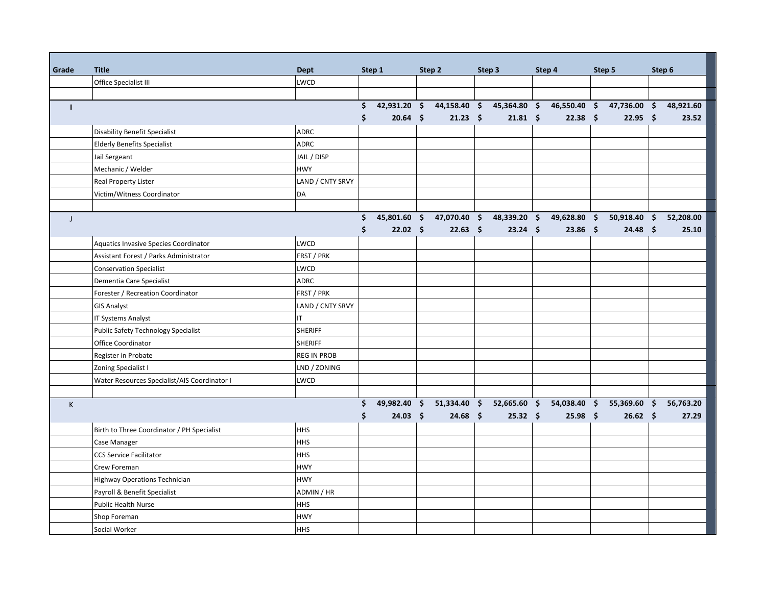| Grade        | <b>Title</b>                                 | <b>Dept</b>        |    | Step 1           |  | Step 2                    | Step 3 |                     | Step 4 |              |  | Step 5          | Step 6    |
|--------------|----------------------------------------------|--------------------|----|------------------|--|---------------------------|--------|---------------------|--------|--------------|--|-----------------|-----------|
|              | Office Specialist III                        | LWCD               |    |                  |  |                           |        |                     |        |              |  |                 |           |
|              |                                              |                    |    |                  |  |                           |        |                     |        |              |  |                 |           |
| $\mathbf{I}$ |                                              |                    | \$ | 42,931.20 \$     |  | 44,158.40 \$              |        | 45,364.80 \$        |        | 46,550.40 \$ |  | 47,736.00 \$    | 48,921.60 |
|              |                                              |                    | \$ | $20.64$ \$       |  | $21.23 \quad $$           |        | $21.81 \; \text{S}$ |        | $22.38$ \$   |  | $22.95$ \$      | 23.52     |
|              | Disability Benefit Specialist                | <b>ADRC</b>        |    |                  |  |                           |        |                     |        |              |  |                 |           |
|              | <b>Elderly Benefits Specialist</b>           | <b>ADRC</b>        |    |                  |  |                           |        |                     |        |              |  |                 |           |
|              | Jail Sergeant                                | JAIL / DISP        |    |                  |  |                           |        |                     |        |              |  |                 |           |
|              | Mechanic / Welder                            | <b>HWY</b>         |    |                  |  |                           |        |                     |        |              |  |                 |           |
|              | <b>Real Property Lister</b>                  | LAND / CNTY SRVY   |    |                  |  |                           |        |                     |        |              |  |                 |           |
|              | Victim/Witness Coordinator                   | DA                 |    |                  |  |                           |        |                     |        |              |  |                 |           |
|              |                                              |                    |    |                  |  |                           |        |                     |        |              |  |                 |           |
| $\mathsf{J}$ |                                              |                    | \$ | 45,801.60 \$     |  | 47,070.40 \$              |        | 48,339.20 \$        |        | 49,628.80 \$ |  | $50,918.40$ \$  | 52,208.00 |
|              |                                              |                    | \$ | $22.02 \quad$ \$ |  | $22.63$ \$                |        | $23.24$ \$          |        | $23.86$ \$   |  | $24.48$ \$      | 25.10     |
|              | Aquatics Invasive Species Coordinator        | LWCD               |    |                  |  |                           |        |                     |        |              |  |                 |           |
|              | Assistant Forest / Parks Administrator       | FRST / PRK         |    |                  |  |                           |        |                     |        |              |  |                 |           |
|              | <b>Conservation Specialist</b>               | LWCD               |    |                  |  |                           |        |                     |        |              |  |                 |           |
|              | Dementia Care Specialist                     | <b>ADRC</b>        |    |                  |  |                           |        |                     |        |              |  |                 |           |
|              | Forester / Recreation Coordinator            | FRST / PRK         |    |                  |  |                           |        |                     |        |              |  |                 |           |
|              | <b>GIS Analyst</b>                           | LAND / CNTY SRVY   |    |                  |  |                           |        |                     |        |              |  |                 |           |
|              | IT Systems Analyst                           | IT                 |    |                  |  |                           |        |                     |        |              |  |                 |           |
|              | <b>Public Safety Technology Specialist</b>   | <b>SHERIFF</b>     |    |                  |  |                           |        |                     |        |              |  |                 |           |
|              | <b>Office Coordinator</b>                    | <b>SHERIFF</b>     |    |                  |  |                           |        |                     |        |              |  |                 |           |
|              | Register in Probate                          | <b>REG IN PROB</b> |    |                  |  |                           |        |                     |        |              |  |                 |           |
|              | Zoning Specialist I                          | LND / ZONING       |    |                  |  |                           |        |                     |        |              |  |                 |           |
|              | Water Resources Specialist/AIS Coordinator I | LWCD               |    |                  |  |                           |        |                     |        |              |  |                 |           |
|              |                                              |                    |    |                  |  |                           |        |                     |        |              |  |                 |           |
| $\mathsf K$  |                                              |                    | \$ |                  |  | 49,982.40 \$ 51,334.40 \$ |        | 52,665.60 \$        |        | 54,038.40 \$ |  | 55,369.60 \$    | 56,763.20 |
|              |                                              |                    | \$ | $24.03 \quad $$  |  | $24.68$ \$                |        | $25.32 \quad$ \$    |        | $25.98$ \$   |  | $26.62 \quad $$ | 27.29     |
|              | Birth to Three Coordinator / PH Specialist   | <b>HHS</b>         |    |                  |  |                           |        |                     |        |              |  |                 |           |
|              | Case Manager                                 | <b>HHS</b>         |    |                  |  |                           |        |                     |        |              |  |                 |           |
|              | <b>CCS Service Facilitator</b>               | <b>HHS</b>         |    |                  |  |                           |        |                     |        |              |  |                 |           |
|              | Crew Foreman                                 | <b>HWY</b>         |    |                  |  |                           |        |                     |        |              |  |                 |           |
|              | Highway Operations Technician                | <b>HWY</b>         |    |                  |  |                           |        |                     |        |              |  |                 |           |
|              | Payroll & Benefit Specialist                 | ADMIN / HR         |    |                  |  |                           |        |                     |        |              |  |                 |           |
|              | Public Health Nurse                          | <b>HHS</b>         |    |                  |  |                           |        |                     |        |              |  |                 |           |
|              | Shop Foreman                                 | <b>HWY</b>         |    |                  |  |                           |        |                     |        |              |  |                 |           |
|              | Social Worker                                | <b>HHS</b>         |    |                  |  |                           |        |                     |        |              |  |                 |           |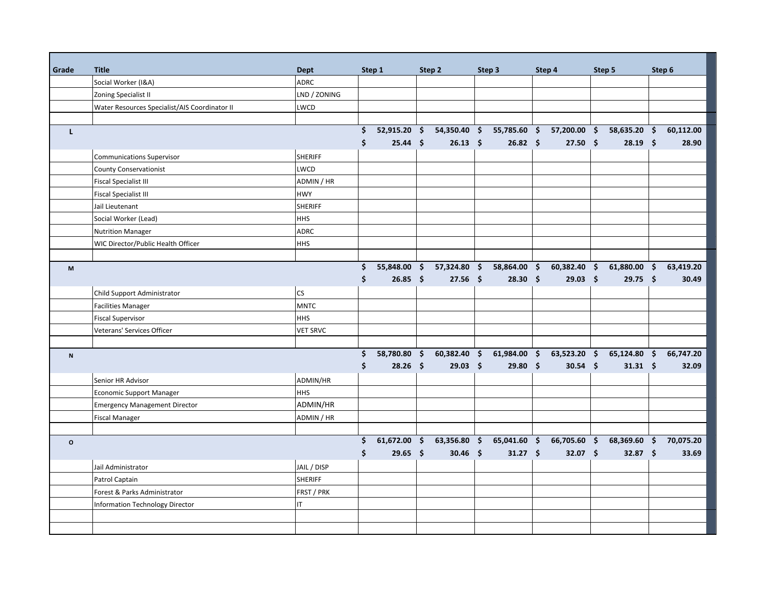| Grade                     | <b>Title</b>                                  | <b>Dept</b>     | Step 1 |              |  | Step 2                    | Step 3 |                  |                    | Step 4                    |                     | Step 5          |                     | Step 6    |
|---------------------------|-----------------------------------------------|-----------------|--------|--------------|--|---------------------------|--------|------------------|--------------------|---------------------------|---------------------|-----------------|---------------------|-----------|
|                           | Social Worker (I&A)                           | <b>ADRC</b>     |        |              |  |                           |        |                  |                    |                           |                     |                 |                     |           |
|                           | Zoning Specialist II                          | LND / ZONING    |        |              |  |                           |        |                  |                    |                           |                     |                 |                     |           |
|                           | Water Resources Specialist/AIS Coordinator II | LWCD            |        |              |  |                           |        |                  |                    |                           |                     |                 |                     |           |
|                           |                                               |                 |        |              |  |                           |        |                  |                    |                           |                     |                 |                     |           |
| г                         |                                               |                 | \$     |              |  | 52,915.20 \$ 54,350.40 \$ |        |                  |                    | 55,785.60 \$ 57,200.00 \$ |                     | 58,635.20 \$    |                     | 60,112.00 |
|                           |                                               |                 | \$     | $25.44$ \$   |  | $26.13$ \$                |        | $26.82 \quad$ \$ |                    | $27.50$ \$                |                     | $28.19$ \$      |                     | 28.90     |
|                           | <b>Communications Supervisor</b>              | <b>SHERIFF</b>  |        |              |  |                           |        |                  |                    |                           |                     |                 |                     |           |
|                           | County Conservationist                        | LWCD            |        |              |  |                           |        |                  |                    |                           |                     |                 |                     |           |
|                           | <b>Fiscal Specialist III</b>                  | ADMIN / HR      |        |              |  |                           |        |                  |                    |                           |                     |                 |                     |           |
|                           | <b>Fiscal Specialist III</b>                  | <b>HWY</b>      |        |              |  |                           |        |                  |                    |                           |                     |                 |                     |           |
|                           | Jail Lieutenant                               | <b>SHERIFF</b>  |        |              |  |                           |        |                  |                    |                           |                     |                 |                     |           |
|                           | Social Worker (Lead)                          | <b>HHS</b>      |        |              |  |                           |        |                  |                    |                           |                     |                 |                     |           |
|                           | <b>Nutrition Manager</b>                      | <b>ADRC</b>     |        |              |  |                           |        |                  |                    |                           |                     |                 |                     |           |
|                           | WIC Director/Public Health Officer            | <b>HHS</b>      |        |              |  |                           |        |                  |                    |                           |                     |                 |                     |           |
|                           |                                               |                 |        |              |  |                           |        |                  |                    |                           |                     |                 |                     |           |
| M                         |                                               |                 | \$     | 55,848.00 \$ |  | 57,324.80 \$              |        | 58,864.00        | $\mathsf{\hat{S}}$ | 60,382.40                 | -\$                 | 61,880.00       | -\$                 | 63,419.20 |
|                           |                                               |                 | \$     | $26.85$ \$   |  | $27.56$ \$                |        | $28.30\quad$ \$  |                    | $29.03 \quad $$           |                     | $29.75$ \$      |                     | 30.49     |
|                           | Child Support Administrator                   | cs              |        |              |  |                           |        |                  |                    |                           |                     |                 |                     |           |
|                           | <b>Facilities Manager</b>                     | <b>MNTC</b>     |        |              |  |                           |        |                  |                    |                           |                     |                 |                     |           |
|                           | <b>Fiscal Supervisor</b>                      | <b>HHS</b>      |        |              |  |                           |        |                  |                    |                           |                     |                 |                     |           |
|                           | Veterans' Services Officer                    | <b>VET SRVC</b> |        |              |  |                           |        |                  |                    |                           |                     |                 |                     |           |
|                           |                                               |                 |        |              |  |                           |        |                  |                    |                           |                     |                 |                     |           |
| $\boldsymbol{\mathsf{N}}$ |                                               |                 | Ś.     | 58,780.80 \$ |  | 60,382.40 \$              |        | 61,984.00 \$     |                    | 63,523.20 \$              |                     | 65,124.80 \$    |                     | 66,747.20 |
|                           |                                               |                 | \$     | $28.26$ \$   |  | $29.03$ \$                |        | 29.80%           |                    | $30.54$ \$                |                     | $31.31 \quad $$ |                     | 32.09     |
|                           | Senior HR Advisor                             | ADMIN/HR        |        |              |  |                           |        |                  |                    |                           |                     |                 |                     |           |
|                           | <b>Economic Support Manager</b>               | <b>HHS</b>      |        |              |  |                           |        |                  |                    |                           |                     |                 |                     |           |
|                           | <b>Emergency Management Director</b>          | ADMIN/HR        |        |              |  |                           |        |                  |                    |                           |                     |                 |                     |           |
|                           | <b>Fiscal Manager</b>                         | ADMIN / HR      |        |              |  |                           |        |                  |                    |                           |                     |                 |                     |           |
|                           |                                               |                 |        |              |  |                           |        |                  |                    |                           |                     |                 |                     |           |
| $\mathsf{o}\xspace$       |                                               |                 | \$     | 61,672.00 \$ |  | 63,356.80 \$              |        | 65,041.60        | \$                 | 66,705.60                 | $\ddot{\mathsf{s}}$ | 68,369.60       | $\ddot{\bm{\zeta}}$ | 70,075.20 |
|                           |                                               |                 | \$     | $29.65$ \$   |  | $30.46$ \$                |        | $31.27$ \$       |                    | $32.07$ \$                |                     | 32.87 \$        |                     | 33.69     |
|                           | Jail Administrator                            | JAIL / DISP     |        |              |  |                           |        |                  |                    |                           |                     |                 |                     |           |
|                           | Patrol Captain                                | <b>SHERIFF</b>  |        |              |  |                           |        |                  |                    |                           |                     |                 |                     |           |
|                           | Forest & Parks Administrator                  | FRST / PRK      |        |              |  |                           |        |                  |                    |                           |                     |                 |                     |           |
|                           | Information Technology Director               | IT              |        |              |  |                           |        |                  |                    |                           |                     |                 |                     |           |
|                           |                                               |                 |        |              |  |                           |        |                  |                    |                           |                     |                 |                     |           |
|                           |                                               |                 |        |              |  |                           |        |                  |                    |                           |                     |                 |                     |           |